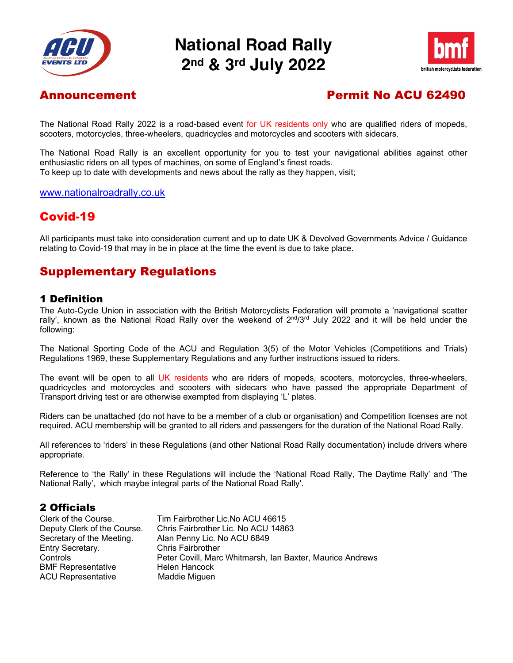

# **National Road Rally 2nd & 3rd July 2022**



## Announcement Permit No ACU 62490

The National Road Rally 2022 is a road-based event for UK residents only who are qualified riders of mopeds, scooters, motorcycles, three-wheelers, quadricycles and motorcycles and scooters with sidecars.

The National Road Rally is an excellent opportunity for you to test your navigational abilities against other enthusiastic riders on all types of machines, on some of England's finest roads. To keep up to date with developments and news about the rally as they happen, visit;

#### www.nationalroadrally.co.uk

### Covid-19

All participants must take into consideration current and up to date UK & Devolved Governments Advice / Guidance relating to Covid-19 that may in be in place at the time the event is due to take place.

### Supplementary Regulations

### 1 Definition

The Auto-Cycle Union in association with the British Motorcyclists Federation will promote a 'navigational scatter rally', known as the National Road Rally over the weekend of  $2^{nd}/3^{rd}$  July 2022 and it will be held under the following:

The National Sporting Code of the ACU and Regulation 3(5) of the Motor Vehicles (Competitions and Trials) Regulations 1969, these Supplementary Regulations and any further instructions issued to riders.

The event will be open to all UK residents who are riders of mopeds, scooters, motorcycles, three-wheelers, quadricycles and motorcycles and scooters with sidecars who have passed the appropriate Department of Transport driving test or are otherwise exempted from displaying 'L' plates.

Riders can be unattached (do not have to be a member of a club or organisation) and Competition licenses are not required. ACU membership will be granted to all riders and passengers for the duration of the National Road Rally.

All references to 'riders' in these Regulations (and other National Road Rally documentation) include drivers where appropriate.

Reference to 'the Rally' in these Regulations will include the 'National Road Rally, The Daytime Rally' and 'The National Rally', which maybe integral parts of the National Road Rally'.

### 2 Officials

| Clerk of the Course.        | Tim Fairbrother Lic. No ACU 46615                         |
|-----------------------------|-----------------------------------------------------------|
| Deputy Clerk of the Course. | Chris Fairbrother Lic. No ACU 14863                       |
| Secretary of the Meeting.   | Alan Penny Lic. No ACU 6849                               |
| Entry Secretary.            | <b>Chris Fairbrother</b>                                  |
| Controls                    | Peter Covill, Marc Whitmarsh, Ian Baxter, Maurice Andrews |
| <b>BMF Representative</b>   | Helen Hancock                                             |
| <b>ACU Representative</b>   | Maddie Miguen                                             |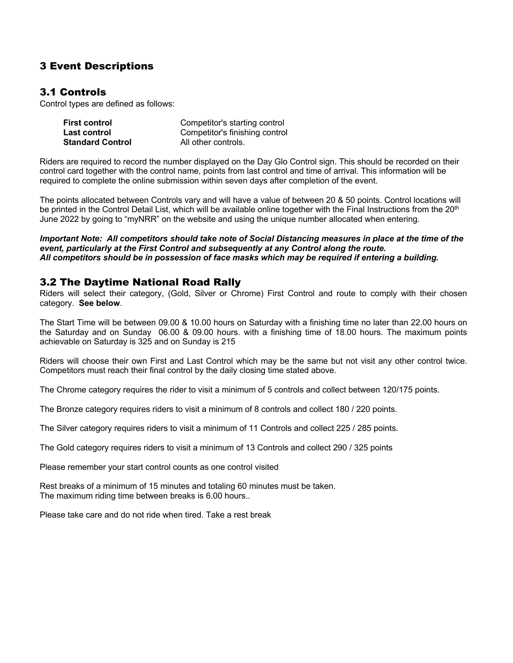### 3 Event Descriptions

### 3.1 Controls

Control types are defined as follows:

| <b>First control</b>    | Competitor's starting control  |
|-------------------------|--------------------------------|
| Last control            | Competitor's finishing control |
| <b>Standard Control</b> | All other controls.            |

Riders are required to record the number displayed on the Day Glo Control sign. This should be recorded on their control card together with the control name, points from last control and time of arrival. This information will be required to complete the online submission within seven days after completion of the event.

The points allocated between Controls vary and will have a value of between 20 & 50 points. Control locations will be printed in the Control Detail List, which will be available online together with the Final Instructions from the 20<sup>th</sup> June 2022 by going to "myNRR" on the website and using the unique number allocated when entering.

*Important Note: All competitors should take note of Social Distancing measures in place at the time of the event, particularly at the First Control and subsequently at any Control along the route. All competitors should be in possession of face masks which may be required if entering a building.*

### 3.2 The Daytime National Road Rally

Riders will select their category, (Gold, Silver or Chrome) First Control and route to comply with their chosen category. **See below**.

The Start Time will be between 09.00 & 10.00 hours on Saturday with a finishing time no later than 22.00 hours on the Saturday and on Sunday 06.00 & 09.00 hours. with a finishing time of 18.00 hours. The maximum points achievable on Saturday is 325 and on Sunday is 215

Riders will choose their own First and Last Control which may be the same but not visit any other control twice. Competitors must reach their final control by the daily closing time stated above.

The Chrome category requires the rider to visit a minimum of 5 controls and collect between 120/175 points.

The Bronze category requires riders to visit a minimum of 8 controls and collect 180 / 220 points.

The Silver category requires riders to visit a minimum of 11 Controls and collect 225 / 285 points.

The Gold category requires riders to visit a minimum of 13 Controls and collect 290 / 325 points

Please remember your start control counts as one control visited

Rest breaks of a minimum of 15 minutes and totaling 60 minutes must be taken. The maximum riding time between breaks is 6.00 hours..

Please take care and do not ride when tired. Take a rest break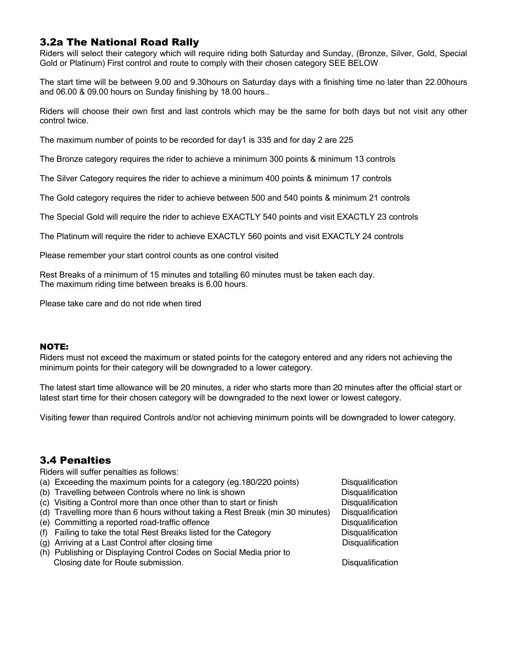### 3.2a The National Road Rally

Riders will select their category which will require riding both Saturday and Sunday, (Bronze, Silver, Gold, Special Gold or Platinum) First control and route to comply with their chosen category SEE BELOW

The start time will be between 9.00 and 9.30hours on Saturday days with a finishing time no later than 22.00hours and 06.00 & 09.00 hours on Sunday finishing by 18.00 hours..

Riders will choose their own first and last controls which may be the same for both days but not visit any other control twice.

The maximum number of points to be recorded for day1 is 335 and for day 2 are 225

The Bronze category requires the rider to achieve a minimum 300 points & minimum 13 controls

The Silver Category requires the rider to achieve a minimum 400 points & minimum 17 controls

The Gold category requires the rider to achieve between 500 and 540 points & minimum 21 controls

The Special Gold will require the rider to achieve EXACTLY 540 points and visit EXACTLY 23 controls

The Platinum will require the rider to achieve EXACTLY 560 points and visit EXACTLY 24 controls

Please remember your start control counts as one control visited

Rest Breaks of a minimum of 15 minutes and totalling 60 minutes must be taken each day. The maximum riding time between breaks is 6.00 hours.

Please take care and do not ride when tired

#### NOTE:

Riders must not exceed the maximum or stated points for the category entered and any riders not achieving the minimum points for their category will be downgraded to a lower category.

The latest start time allowance will be 20 minutes, a rider who starts more than 20 minutes after the official start or latest start time for their chosen category will be downgraded to the next lower or lowest category.

Visiting fewer than required Controls and/or not achieving minimum points will be downgraded to lower category.

### 3.4 Penalties

Riders will suffer penalties as follows:

- (a) Exceeding the maximum points for a category (eg.180/220 points) Disqualification
- (b) Travelling between Controls where no link is shown Disqualification Disqualification
- (c) Visiting a Control more than once other than to start or finish Disqualification
- (d) Travelling more than 6 hours without taking a Rest Break (min 30 minutes) Disqualification
- (e) Committing a reported road-traffic offence Disqualification Disqualification
- (f) Failing to take the total Rest Breaks listed for the Category Disqualification
- (g) Arriving at a Last Control after closing time Disqualification Disqualification
- (h) Publishing or Displaying Control Codes on Social Media prior to Closing date for Route submission. Disqualification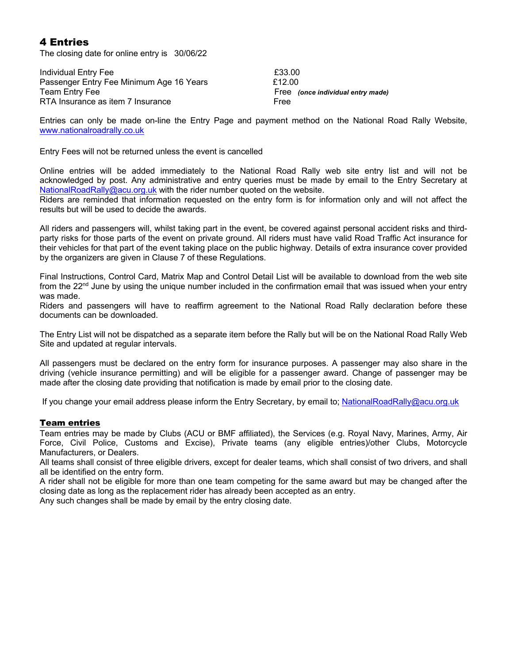### 4 Entries

The closing date for online entry is 30/06/22

Individual Entry Fee **E33.00** Passenger Entry Fee Minimum Age 16 Years<br>Team Entry Fee (Free ) Free (once individual entry made) RTA Insurance as item 7 Insurance Free

Entries can only be made on-line the Entry Page and payment method on the National Road Rally Website, www.nationalroadrally.co.uk

Entry Fees will not be returned unless the event is cancelled

Online entries will be added immediately to the National Road Rally web site entry list and will not be acknowledged by post. Any administrative and entry queries must be made by email to the Entry Secretary at NationalRoadRally@acu.org.uk with the rider number quoted on the website.

Riders are reminded that information requested on the entry form is for information only and will not affect the results but will be used to decide the awards.

All riders and passengers will, whilst taking part in the event, be covered against personal accident risks and thirdparty risks for those parts of the event on private ground. All riders must have valid Road Traffic Act insurance for their vehicles for that part of the event taking place on the public highway. Details of extra insurance cover provided by the organizers are given in Clause 7 of these Regulations.

Final Instructions, Control Card, Matrix Map and Control Detail List will be available to download from the web site from the 22<sup>nd</sup> June by using the unique number included in the confirmation email that was issued when your entry was made.

Riders and passengers will have to reaffirm agreement to the National Road Rally declaration before these documents can be downloaded.

The Entry List will not be dispatched as a separate item before the Rally but will be on the National Road Rally Web Site and updated at regular intervals.

All passengers must be declared on the entry form for insurance purposes. A passenger may also share in the driving (vehicle insurance permitting) and will be eligible for a passenger award. Change of passenger may be made after the closing date providing that notification is made by email prior to the closing date.

If you change your email address please inform the Entry Secretary, by email to; NationalRoadRally@acu.org.uk

#### Team entries

Team entries may be made by Clubs (ACU or BMF affiliated), the Services (e.g. Royal Navy, Marines, Army, Air Force, Civil Police, Customs and Excise), Private teams (any eligible entries)/other Clubs, Motorcycle Manufacturers, or Dealers.

All teams shall consist of three eligible drivers, except for dealer teams, which shall consist of two drivers, and shall all be identified on the entry form.

A rider shall not be eligible for more than one team competing for the same award but may be changed after the closing date as long as the replacement rider has already been accepted as an entry.

Any such changes shall be made by email by the entry closing date.